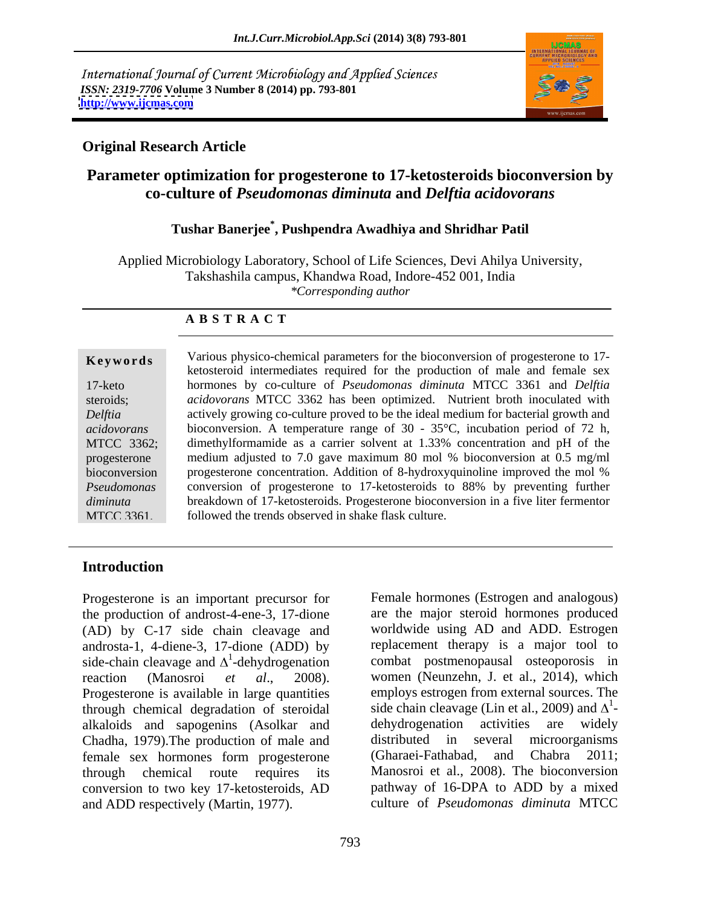International Journal of Current Microbiology and Applied Sciences *ISSN: 2319-7706* **Volume 3 Number 8 (2014) pp. 793-801 <http://www.ijcmas.com>**



### **Original Research Article**

# **Parameter optimization for progesterone to 17-ketosteroids bioconversion by co-culture of** *Pseudomonas diminuta* **and** *Delftia acidovorans*

# **Tushar Banerjee\* , Pushpendra Awadhiya and Shridhar Patil**

Applied Microbiology Laboratory, School of Life Sciences, Devi Ahilya University, Takshashila campus, Khandwa Road, Indore-452 001, India *\*Corresponding author* 

### **A B S T R A C T**

**Keywords** Various physico-chemical parameters for the bioconversion of progesterone to 17-17-keto hormones by co-culture of *Pseudomonas diminuta* MTCC 3361 and *Delftia*  steroids; *acidovorans* MTCC 3362 has been optimized. Nutrient broth inoculated with *Delftia*  actively growing co-culture proved to be the ideal medium for bacterial growth and *acidovorans*  bioconversion. A temperature range of 30 - 35°C, incubation period of 72 h, MTCC 3362; dimethylformamide as a carrier solvent at 1.33% concentration and pH of the progesterone medium adjusted to 7.0 gave maximum 80 mol % bioconversion at 0.5 mg/ml bioconversion progesterone concentration. Addition of 8-hydroxyquinoline improved the mol % *Pseudomonas*  conversion of progesterone to 17-ketosteroids to 88% by preventing further *diminuta*  breakdown of 17-ketosteroids. Progesterone bioconversion in a five liter fermentor MTCC 3361. followed the trends observed in shake flask culture.ketosteroid intermediates required for the production of male and female sex

### **Introduction**

Progesterone is an important precursor for the production of androst-4-ene-3, 17-dione (AD) by C-17 side chain cleavage and worldwide using AD and ADD. Estrogen androsta-1, 4-diene-3, 17-dione (ADD) by side-chain cleavage and  $\Delta^1$ -dehydrogenation reaction (Manosroi *et al.*, 2008). women (Neunzehn, J. et al., 2014), which Progesterone is available in large quantities through chemical degradation of steroidal alkaloids and sapogenins (Asolkar and dehydrogenation activities are widely<br>Chadha 1979). The production of male and distributed in several microorganisms Chadha, 1979). The production of male and distributed in several example sex hormones form progesterone (Gharaei-Fathabad, female sex hormones form progesterone (Gharaei-Fathabad, and Chabra 2011; through chemical route requires its Manosroi et al., 2008).The bioconversion conversion to two key 17-ketosteroids, AD pathway of 16-DPA to ADD by a mixed and ADD respectively (Martin, 1977). culture of *Pseudomonas diminuta* MTCC

<sup>1</sup>-dehydrogenation combat postmenopausal osteoporosis in Female hormones (Estrogen and analogous) are the major steroid hormones produced replacement therapy is a major tool to employs estrogen from external sources. The side chain cleavage (Lin et al., 2009) and  $\Delta^1$ - dehydrogenation activities are widely distributed in several microorganisms (Gharaei-Fathabad, and Chabra 2011;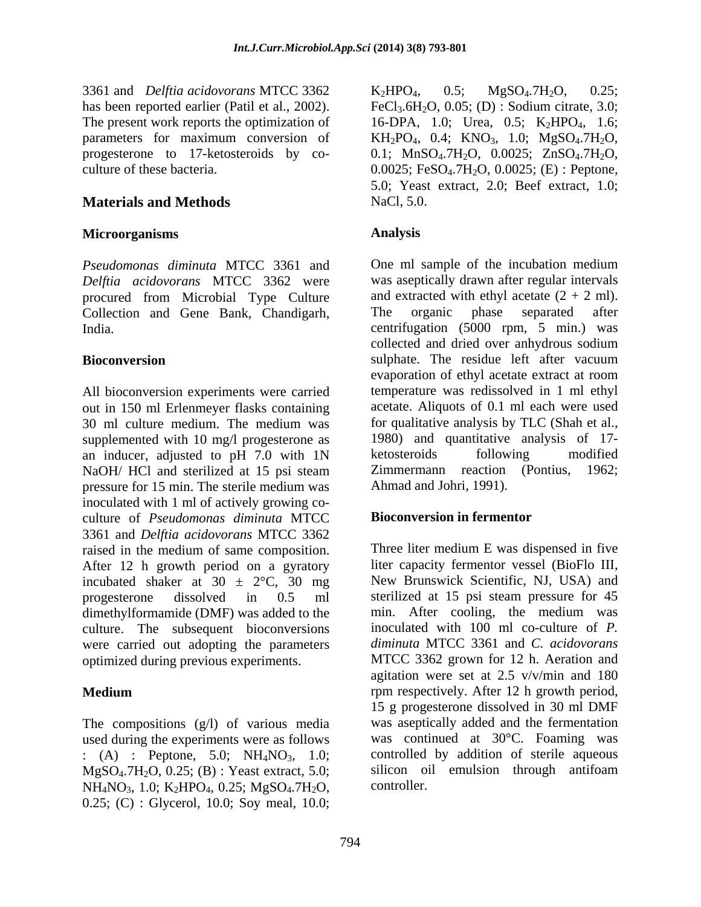3361 and *Delftia acidovorans* MTCC 3362 The present work reports the optimization of

# **Materials and Methods** NaCl, 5.0.

## **Microorganisms**

*Delftia acidovorans* MTCC 3362 were procured from Microbial Type Culture Collection and Gene Bank, Chandigarh, The organic phase separated after

All bioconversion experiments were carried out in 150 ml Erlenmeyer flasks containing 30 ml culture medium. The medium was supplemented with 10 mg/l progesterone as 1980) and quantitative an inducer adjusted to pH 7.0 with 1N ketosteroids following an inducer, adjusted to pH 7.0 with 1N ketosteroids following modified NaOH/ HCl and sterilized at 15 psi steam pressure for 15 min. The sterile medium was inoculated with 1 ml of actively growing co culture of *Pseudomonas diminuta* MTCC 3361 and *Delftia acidovorans* MTCC 3362 raised in the medium of same composition. After 12 h growth period on a gyratory incubated shaker at  $30 \pm 2$ °C, 30 mg dimethylformamide (DMF) was added to the culture. The subsequent bioconversions were carried out adopting the parameters optimized during previous experiments.

The compositions (g/l) of various media used during the experiments were as follows : (A) : Peptone, 5.0;  $NH_4NO_3$ , 1.0; controlled by addition of sterile aqueous  $M\phi SO_4.7H_2O$ , 0.25; (B) : Yeast extract, 5.0; silicon oil emulsion through antifoam MgSO4.7H2O, 0.25; (B) : Yeast extract, 5.0; NH<sub>4</sub>NO<sub>3</sub>, 1.0; K<sub>2</sub>HPO<sub>4</sub>, 0.25; MgSO<sub>4</sub>.7H<sub>2</sub>O, 0.25; (C) : Glycerol, 10.0; Soy meal, 10.0;

has been reported earlier (Patil et al., 2002). FeCl<sub>3</sub>.6H<sub>2</sub>O, 0.05; (D) : Sodium citrate, 3.0; parameters for maximum conversion of  $KH_2PO_4$ , 0.4;  $KNO_3$ , 1.0;  $MgSO_4$ .7 $H_2O$ , progesterone to 17-ketosteroids by co-  $0.1$ ; MnSO<sub>4</sub>.7H<sub>2</sub>O,  $0.0025$ ; ZnSO<sub>4</sub>.7H<sub>2</sub>O, culture of these bacteria.  $0.0025$ ; FeSO<sub>4</sub>.7H<sub>2</sub>O,  $0.0025$ ; (E) : Peptone,  $K_2HPO_4$ , 0.5;  $MgSO_4.7H_2O$ , 0.25; 16-DPA, 1.0; Urea, 0.5; K<sub>2</sub>HPO<sub>4</sub>, 1.6; 5.0; Yeast extract, 2.0; Beef extract, 1.0; NaCl, 5.0.

## **Analysis**

*Pseudomonas diminuta* MTCC 3361 and One ml sample of the incubation medium India. centrifugation (5000 rpm, 5 min.) was **Bioconversion Sulphate.** The residue left after vacuum was aseptically drawn after regular intervals and extracted with ethyl acetate  $(2 + 2$  ml). The organic phase separated after collected and dried over anhydrous sodium evaporation of ethyl acetate extract at room temperature was redissolved in 1 ml ethyl acetate. Aliquots of 0.1 ml each were used for qualitative analysis by TLC (Shah et al., 1980) and quantitative analysis of 17 ketosteroids following modified Zimmermann reaction (Pontius, 1962; Ahmad and Johri, 1991).

# **Bioconversion in fermentor**

progesterone dissolved in 0.5 ml sterilized at 15 psi steam pressure for 45 **Medium rpm** respectively. After 12 h growth period, Three liter medium E was dispensed in five liter capacity fermentor vessel (BioFlo III, New Brunswick Scientific, NJ, USA) and min. After cooling, the medium was inoculated with 100 ml co-culture of *P. diminuta* MTCC 3361 and *C. acidovorans* MTCC 3362 grown for 12 h. Aeration and agitation were set at 2.5 v/v/min and 180 15 g progesterone dissolved in 30 ml DMF was aseptically added and the fermentation was continued at 30°C. Foaming was controlled by addition of sterile aqueous silicon oil emulsion through antifoam controller.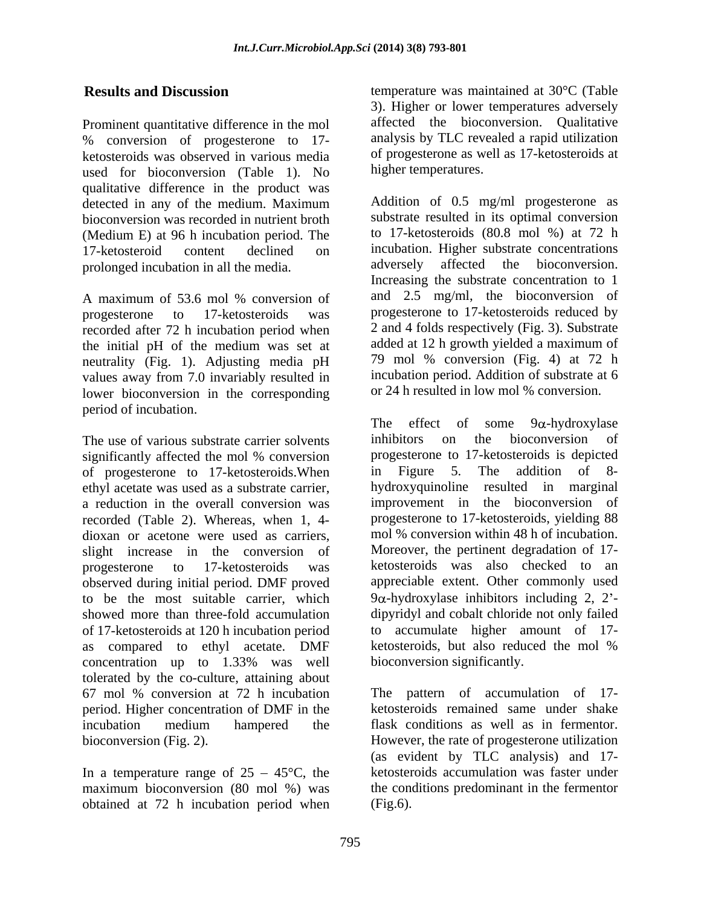Prominent quantitative difference in the mol % conversion of progesterone to 17 ketosteroids was observed in various media used for bioconversion (Table 1). No qualitative difference in the product was detected in any of the medium. Maximum bioconversion was recorded in nutrient broth (Medium E) at 96 h incubation period. The prolonged incubation in all the media.

recorded after 72 h incubation period when the initial pH of the medium was set at neutrality (Fig. 1). Adjusting media pH values away from 7.0 invariably resulted in lower bioconversion in the corresponding period of incubation.<br>The effect of some  $9\alpha$ -hydroxylase

The use of various substrate carrier solvents inhibitors on the bioconversion of significantly affected the mol % conversion<br>of progesterone to 17-ketosteroids when in Figure 5. The addition of 8of progesterone to 17-ketosteroids.When ethyl acetate was used as a substrate carrier, a reduction in the overall conversion was dioxan or acetone were used as carriers, slight increase in the conversion of as compared to ethyl acetate. DMF concentration up to 1.33% was well tolerated by the co-culture, attaining about 67 mol % conversion at 72 h incubation period. Higher concentration of DMF in the incubation medium hampered the bioconversion (Fig. 2). However, the rate of progesterone utilization

In a temperature range of  $25 - 45^{\circ}$ C, the maximum bioconversion (80 mol %) was obtained at 72 h incubation period when

**Results and Discussion** temperature was maintained at 30°C (Table 3). Higher or lower temperatures adversely affected the bioconversion. Qualitative analysis by TLC revealed a rapid utilization of progesterone as well as 17-ketosteroids at higher temperatures.

17-ketosteroid content declined on incubation. Higher substrate concentrations A maximum of 53.6 mol % conversion of and 2.5 mg/ml, the bioconversion of progesterone to 17-ketosteroids was progesterone to 17-ketosteroids reduced by Addition of 0.5 mg/ml progesterone as substrate resulted in its optimal conversion to 17-ketosteroids (80.8 mol %) at 72 h adversely affected the bioconversion. Increasing the substrate concentration to 1 and 2.5 mg/ml, the bioconversion of 2 and 4 folds respectively (Fig. 3). Substrate added at 12 h growth yielded a maximum of 79 mol % conversion (Fig. 4) at 72 h incubation period. Addition of substrate at 6 or 24 h resulted in low mol % conversion.

recorded (Table 2). Whereas, when 1, 4- progesterone to 17-ketosteroids, yielding 88 progesterone to 17-ketosteroids was ketosteroids was also checked to an observed during initial period. DMF proved appreciable extent. Other commonly used to be the most suitable carrier, which  $9\alpha$ -hydroxylase inhibitors including 2, 2<sup>2</sup>showed more than three-fold accumulation dipyridyl and cobalt chloride not only failed of 17-ketosteroids at 120 h incubation period to accumulate higher amount of 17- The effect of some  $9\alpha$ -hydroxylase inhibitors on the bioconversion of progesterone to 17-ketosteroids is depicted in Figure 5. The addition of 8 hydroxyquinoline resulted in marginal improvement in the bioconversion of mol % conversion within 48 h of incubation. Moreover, the pertinent degradation of 17 ketosteroids, but also reduced the mol % bioconversion significantly.

maximum bioconversion (80 mol %) was the conditions predominant in the fermentor The pattern of accumulation of 17 ketosteroids remained same under shake flask conditions as well as in fermentor. (as evident by TLC analysis) and 17 ketosteroids accumulation was faster under (Fig.6).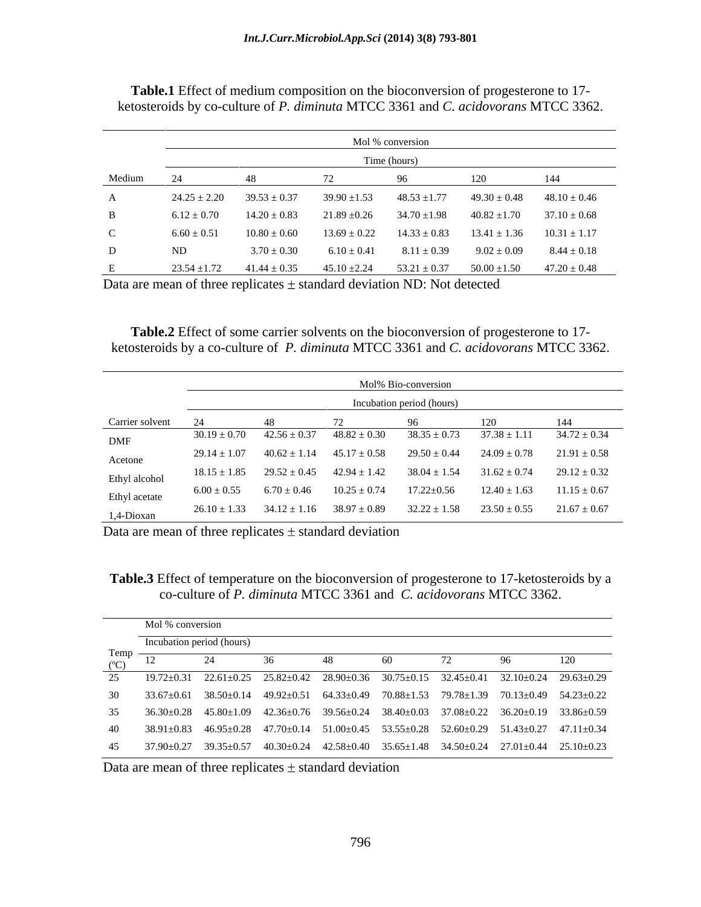|              | Mol % conversion<br>Time (hours) |                  |                  |                  |                  |                  |
|--------------|----------------------------------|------------------|------------------|------------------|------------------|------------------|
|              |                                  |                  |                  |                  |                  |                  |
| Medium       |                                  |                  |                  |                  |                  |                  |
| $\mathbf{A}$ | $24.25 \pm 2.20$                 | $39.53 \pm 0.37$ | $39.90 \pm 1.53$ | $48.53 \pm 1.77$ | $49.30 \pm 0.48$ | $48.10 \pm 0.46$ |
| B            | $6.12 \pm 0.70$                  | $14.20 \pm 0.83$ | $21.89 \pm 0.26$ | $34.70 \pm 1.98$ | $40.82 \pm 1.70$ | $37.10 \pm 0.68$ |
| $\mathsf{C}$ | $6.60 \pm 0.51$                  | $10.80 \pm 0.60$ | $13.69 \pm 0.22$ | $14.33 \pm 0.83$ | $13.41 \pm 1.36$ | $10.31 \pm 1.17$ |
| D            | ND                               | $3.70 \pm 0.30$  | $6.10 \pm 0.41$  | $8.11 \pm 0.39$  | $9.02 \pm 0.09$  | $8.44 \pm 0.18$  |
|              | $23.54 \pm 1.72$                 | $41.44 \pm 0.35$ | $45.10 \pm 2.24$ | $53.21 \pm 0.37$ | $50.00 \pm 1.50$ | $47.20 \pm 0.48$ |

**Table.1** Effect of medium composition on the bioconversion of progesterone to 17 ketosteroids by co-culture of *P. diminuta* MTCC 3361 and *C. acidovorans* MTCC 3362.

Data are mean of three replicates  $\pm$  standard deviation ND: Not detected

**Table.2** Effect of some carrier solvents on the bioconversion of progesterone to 17 ketosteroids by a co-culture of *P. diminuta* MTCC 3361 and *C. acidovorans* MTCC 3362.

|                 | Mol% Bio-conversion |                                                    |                     |                  |                  |                  |
|-----------------|---------------------|----------------------------------------------------|---------------------|------------------|------------------|------------------|
|                 |                     | Incubation period (hours)                          |                     |                  |                  |                  |
| Carrier solvent |                     |                                                    |                     |                  |                  |                  |
| DMF             | $30.19 \pm 0.70$    | $42.56 \pm 0.37$                                   | -48. X.             | 38.35 + 0.1      | / 3X -           | $34.72 \pm 0.34$ |
| Acetone         |                     | $29.14 \pm 1.07$ $40.62 \pm 1.14$ $45.17 \pm 0.58$ |                     | $29.50 \pm 0.44$ | $24.09 \pm 0.78$ | $21.91 \pm 0.58$ |
| Ethyl alcohol   |                     | $18.15 \pm 1.85$ $29.52 \pm 0.45$ $42.94 \pm 1.42$ |                     | $38.04 \pm 1.54$ | $31.62 \pm 0.74$ | $29.12 \pm 0.32$ |
| Ethyl acetate   | $6.00 \pm 0.55$     | $6.70 \pm 0.46$                                    | 10.25               | 7.22±0.56        | $12.40 + 1.63$   | $11.15 \pm 0.67$ |
| 1,4-Dioxan      |                     | $26.10 \pm 1.33$ $34.12 \pm 1.16$                  | - 38.97<br>7 + 0.89 | $32.22 \pm 1.58$ | $23.50 \pm 0.55$ | $21.67 \pm 0.67$ |

Data are mean of three replicates  $\pm$  standard deviation

**Table.3** Effect of temperature on the bioconversion of progesterone to 17-ketosteroids by a co-culture of *P. diminuta* MTCC 3361 and *C. acidovorans* MTCC 3362.

|                        | Mol % conversion          |                                                                                                                                                                                      |  |  |  |  |  |                                   |  |  |
|------------------------|---------------------------|--------------------------------------------------------------------------------------------------------------------------------------------------------------------------------------|--|--|--|--|--|-----------------------------------|--|--|
|                        | Incubation period (hours) |                                                                                                                                                                                      |  |  |  |  |  |                                   |  |  |
| Temp<br>$(C^{\circ}C)$ | $1^{\circ}$               |                                                                                                                                                                                      |  |  |  |  |  |                                   |  |  |
|                        |                           | $25 \qquad 19.72 \pm 0.31 \qquad 22.61 \pm 0.25 \qquad 25.82 \pm 0.42 \qquad 28.90 \pm 0.36 \qquad 30.75 \pm 0.15 \qquad 32.45 \pm 0.41 \qquad 32.10 \pm 0.24 \qquad 29.63 \pm 0.29$ |  |  |  |  |  |                                   |  |  |
|                        |                           | 30 33.67±0.61 38.50±0.14 49.92±0.51 64.33±0.49 70.88±1.53 79.78±1.39 70.13±0.49 54.23±0.22                                                                                           |  |  |  |  |  |                                   |  |  |
|                        |                           | $35$ $36.30\pm0.28$ $45.80\pm1.09$ $42.36\pm0.76$ $39.56\pm0.24$ $38.40\pm0.03$ $37.08\pm0.22$ $36.20\pm0.19$ $33.86\pm0.59$                                                         |  |  |  |  |  |                                   |  |  |
|                        |                           | 40 38.91±0.83 46.95±0.28 47.70±0.14 51.00±0.45 53.55±0.28 52.60±0.29                                                                                                                 |  |  |  |  |  | $51.43 \pm 0.27$ $47.11 \pm 0.34$ |  |  |
|                        |                           | $37.90 \pm 0.27$ $39.35 \pm 0.57$ $40.30 \pm 0.24$ $42.58 \pm 0.40$ $35.65 \pm 1.48$ $34.50 \pm 0.24$ $27.01 \pm 0.44$ $25.10 \pm 0.23$                                              |  |  |  |  |  |                                   |  |  |

Data are mean of three replicates  $\pm$  standard deviation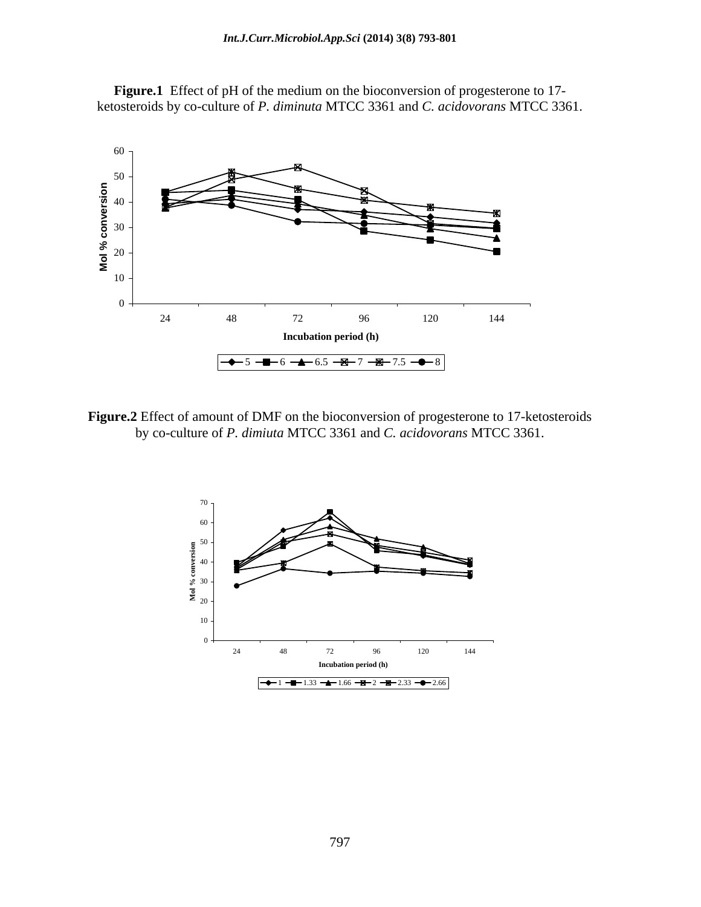

**Figure.1** Effect of pH of the medium on the bioconversion of progesterone to 17 ketosteroids by co-culture of *P. diminuta* MTCC 3361 and *C. acidovorans* MTCC 3361.

**Figure.2** Effect of amount of DMF on the bioconversion of progesterone to 17-ketosteroids by co-culture of *P. dimiuta* MTCC 3361 and *C. acidovorans* MTCC 3361.

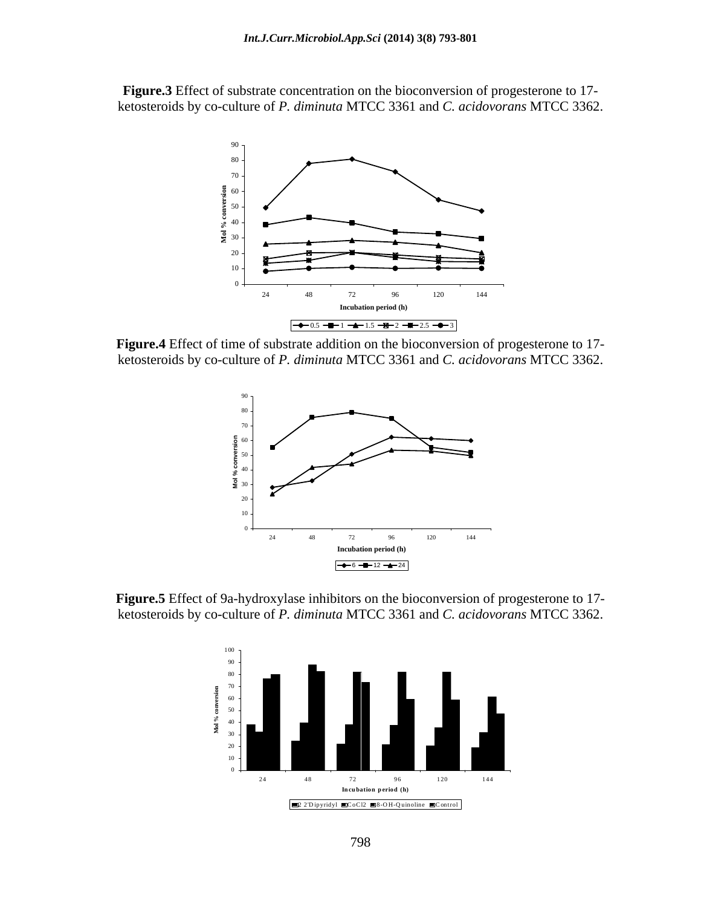**Figure.3** Effect of substrate concentration on the bioconversion of progesterone to 17 ketosteroids by co-culture of *P. diminuta* MTCC 3361 and *C. acidovorans* MTCC 3362.



**Figure.4** Effect of time of substrate addition on the bioconversion of progesterone to 17 ketosteroids by co-culture of *P. diminuta* MTCC 3361 and *C. acidovorans* MTCC 3362.



**Figure.5** Effect of 9a-hydroxylase inhibitors on the bioconversion of progesterone to 17 ketosteroids by co-culture of *P. diminuta* MTCC 3361 and *C. acidovorans* MTCC 3362.

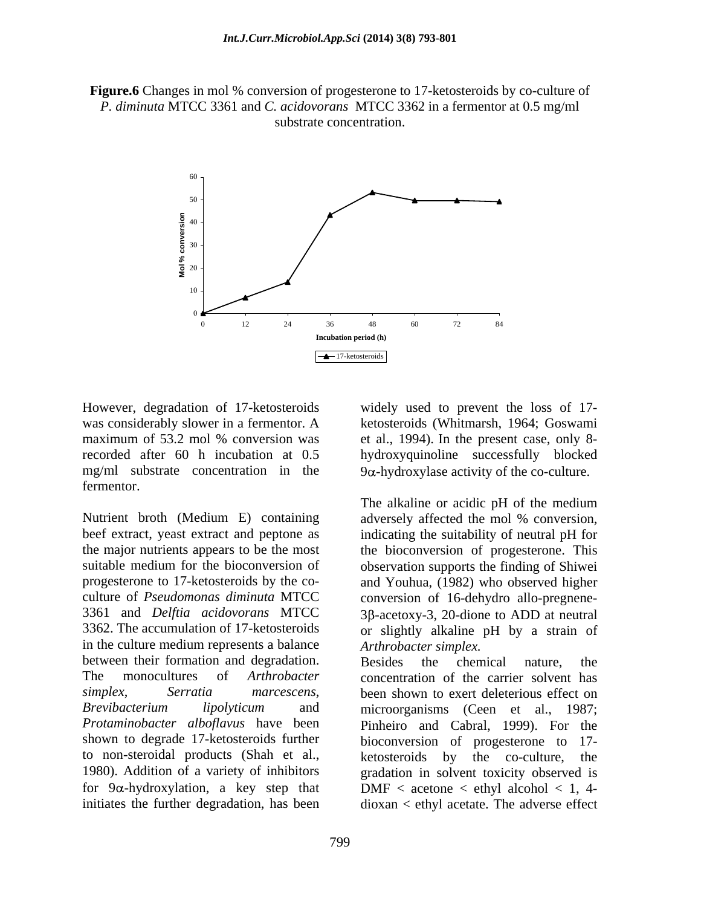**Figure.6** Changes in mol % conversion of progesterone to 17-ketosteroids by co-culture of *P. diminuta* MTCC 3361 and *C. acidovorans* MTCC 3362 in a fermentor at 0.5 mg/ml substrate concentration.



However, degradation of 17-ketosteroids widely used to prevent the loss of 17was considerably slower in a fermentor. A ketosteroids (Whitmarsh, 1964; Goswami maximum of 53.2 mol % conversion was et al., 1994). In the present case, only 8 recorded after 60 h incubation at 0.5 hydroxyquinoline successfully blocked mg/ml substrate concentration in the  $9\alpha$ -hydroxylase activity of the co-culture. fermentor.

Nutrient broth (Medium E) containing adversely affected the mol % conversion, beef extract, yeast extract and peptone as indicating the suitability of neutral pH for the major nutrients appears to be the most the bioconversion of progesterone. This suitable medium for the bioconversion of observation supports the finding of Shiwei progesterone to 17-ketosteroids by the co- and Youhua, (1982) who observed higher culture of *Pseudomonas diminuta* MTCC conversion of 16-dehydro allo-pregnene- 3361 and *Delftia acidovorans* MTCC 3β-acetoxy-3, 20-dione to ADD at neutral 3362. The accumulation of 17-ketosteroids or slightly alkaline pH by a strain of in the culture medium represents a balance between their formation and degradation. Besides the chemical nature, the shown to degrade 17-ketosteroids further bioconversion of progesterone to 17to non-steroidal products (Shah et al., 1980). Addition of a variety of inhibitors

widely used to prevent the loss of 17-ketosteroids (Whitmarsh, 1964; Goswami

The alkaline or acidic pH of the medium adversely affected the mol % conversion, *Arthrobacter simplex.*

The monocultures of *Arthrobacter*  concentration of the carrier solvent has *simplex*, *Serratia marcescens*, been shown to exert deleterious effect on *Brevibacterium lipolyticum* and microorganisms (Ceen et al., 1987; *Protaminobacter alboflavus* have been Pinheiro and Cabral, 1999). For the for  $9\alpha$ -hydroxylation, a key step that DMF < acetone < ethyl alcohol < 1, 4initiates the further degradation, has been dioxan < ethyl acetate. The adverse effectBesides the chemical nature, the bioconversion of progesterone to ketosteroids by the co-culture, the gradation in solvent toxicity observed is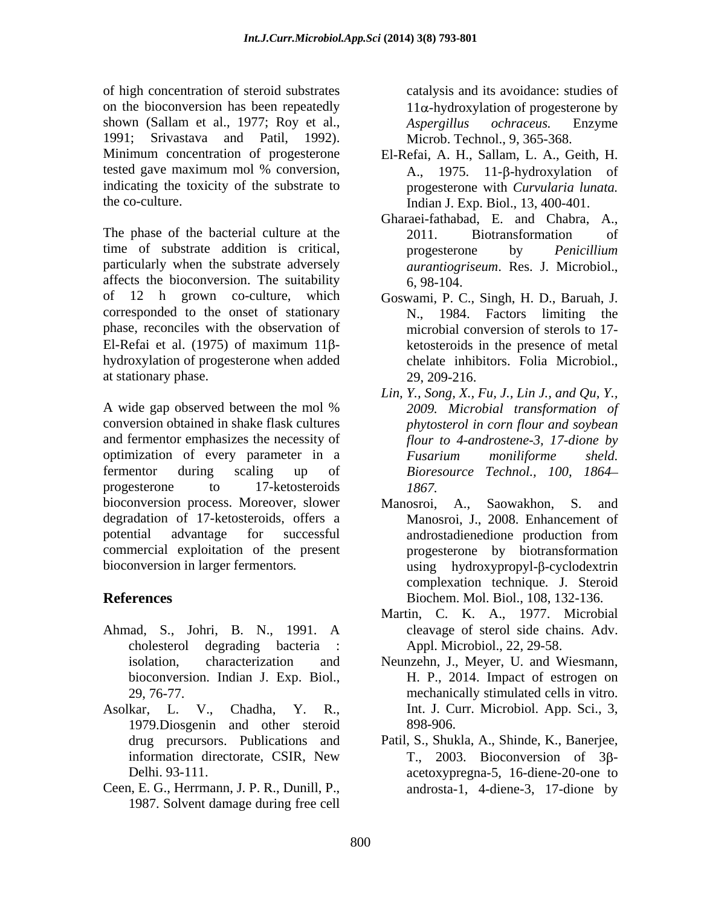of high concentration of steroid substrates on the bioconversion has been repeatedly shown (Sallam et al., 1977; Roy et al., *Aspergillus ochraceus*. Enzyme 1991; Srivastava and Patil, 1992). Minimum concentration of progesterone indicating the toxicity of the substrate to

The phase of the bacterial culture at the 2011. Biotransformation of time of substrate addition is critical, progesterone by *Penicillium* particularly when the substrate adversely affects the bioconversion. The suitability  $6, 98-104$ . of 12 h grown co-culture, which Goswami, P. C., Singh, H. D., Baruah, J. corresponded to the onset of stationary N. phase, reconciles with the observation of El-Refai et al. (1975) of maximum 11 $\beta$ -<br>ketosteroids in the presence of metal hydroxylation of progesterone when added at stationary phase. 29, 209-216.

A wide gap observed between the mol % 2009. Microbial transformation of conversion obtained in shake flask cultures and fermentor emphasizes the necessity of optimization of every parameter in a *Fusarium moniliforme* sheld. fermentor during scaling up of *Bioresource Technol., 100, 1864* progesterone to 17-ketosteroids 1867. bioconversion process. Moreover, slower Manosroi, A., Saowakhon, S. and degradation of 17-ketosteroids, offers a potential advantage for successful commercial exploitation of the present

- Ahmad, S., Johri, B. N., 1991. A bioconversion. Indian J. Exp. Biol.,
- Asolkar, L. V., Chadha, Y. R., Int. J. Curr. Microbiol. App. Sci., 3, 1979.Diosgenin and other steroid
- Ceen, E. G., Herrmann, J. P. R., Dunill, P., androsta-1, 4-diene-3, 17-dione by1987. Solvent damage during free cell

catalysis and its avoidance: studies of  $11\alpha$ -hydroxylation of progesterone by *Aspergillus ochraceus.* Enzyme Microb. Technol., 9, 365-368.

- tested gave maximum mol % conversion,  $A_{1}$ , 1975. 11-β-hydroxylation of the co-culture. Indian J. Exp. Biol., 13, 400-401. El-Refai, A. H., Sallam, L. A., Geith, H. A., 1975. 11-B-hydroxylation of progesterone with *Curvularia lunata.*
	- Gharaei-fathabad, E. and Chabra, A., 2011. Biotransformation of progesterone by *Penicillium aurantiogriseum*. Res. J. Microbiol., 6, 98-104.
	- 1984. Factors limiting the microbial conversion of sterols to 17 ketosteroids in the presence of metal chelate inhibitors. Folia Microbiol., 29, 209-216.
	- *Lin, Y., Song, X., Fu, J., Lin J., and Qu, Y., 2009. Microbial transformation of phytosterol in corn flour and soybean flour to 4-androstene-3, 17-dione by Fusarium moniliforme sheld. 1867.*
- bioconversion in larger fermentors. we are using hydroxypropyl-β-cyclodextrin **References** Biochem. Mol. Biol., 108, 132-136. Manosroi, A., Saowakhon, S. and Manosroi, J., 2008. Enhancement of androstadienedione production from progesterone by biotransformation complexation technique*.* J. Steroid
	- cholesterol degrading bacteria : Appl. Microbiol., 22, 29-58. Martin, C. K. A., 1977. Microbial cleavage of sterol side chains. Adv.
	- isolation, characterization and Neunzehn, J., Meyer, U. and Wiesmann, 29, 76-77. mechanically stimulated cells in vitro. H. P., 2014. Impact of estrogen on 898-906.
	- drug precursors. Publications and Patil, S., Shukla, A., Shinde, K., Banerjee, information directorate, CSIR, New T., 2003. Bioconversion of 3β-Delhi. 93-111. acetoxypregna-5, 16-diene-20-one to T., 2003. Bioconversion of 3B-